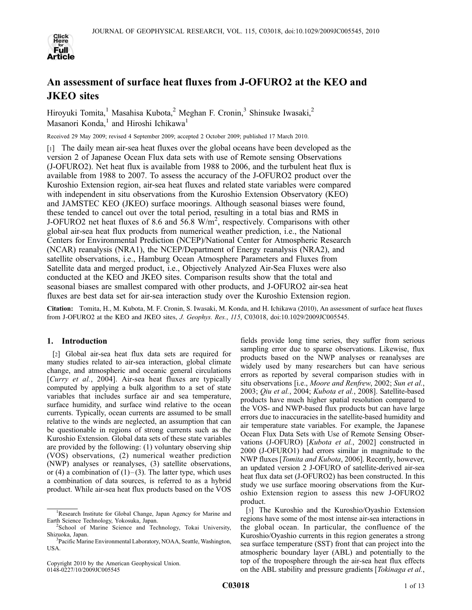

# An assessment of surface heat fluxes from J-OFURO2 at the KEO and JKEO sites

Hiroyuki Tomita,<sup>1</sup> Masahisa Kubota,<sup>2</sup> Meghan F. Cronin,<sup>3</sup> Shinsuke Iwasaki,<sup>2</sup> Masanori Konda,<sup>1</sup> and Hiroshi Ichikawa<sup>1</sup>

Received 29 May 2009; revised 4 September 2009; accepted 2 October 2009; published 17 March 2010.

[1] The daily mean air-sea heat fluxes over the global oceans have been developed as the version 2 of Japanese Ocean Flux data sets with use of Remote sensing Observations (J-OFURO2). Net heat flux is available from 1988 to 2006, and the turbulent heat flux is available from 1988 to 2007. To assess the accuracy of the J-OFURO2 product over the Kuroshio Extension region, air-sea heat fluxes and related state variables were compared with independent in situ observations from the Kuroshio Extension Observatory (KEO) and JAMSTEC KEO (JKEO) surface moorings. Although seasonal biases were found, these tended to cancel out over the total period, resulting in a total bias and RMS in J-OFURO2 net heat fluxes of 8.6 and  $56.8 \text{ W/m}^2$ , respectively. Comparisons with other global air-sea heat flux products from numerical weather prediction, i.e., the National Centers for Environmental Prediction (NCEP)/National Center for Atmospheric Research (NCAR) reanalysis (NRA1), the NCEP/Department of Energy reanalysis (NRA2), and satellite observations, i.e., Hamburg Ocean Atmosphere Parameters and Fluxes from Satellite data and merged product, i.e., Objectively Analyzed Air-Sea Fluxes were also conducted at the KEO and JKEO sites. Comparison results show that the total and seasonal biases are smallest compared with other products, and J-OFURO2 air-sea heat fluxes are best data set for air-sea interaction study over the Kuroshio Extension region.

Citation: Tomita, H., M. Kubota, M. F. Cronin, S. Iwasaki, M. Konda, and H. Ichikawa (2010), An assessment of surface heat fluxes from J-OFURO2 at the KEO and JKEO sites, J. Geophys. Res., 115, C03018, doi:10.1029/2009JC005545.

# 1. Introduction

[2] Global air-sea heat flux data sets are required for many studies related to air-sea interaction, global climate change, and atmospheric and oceanic general circulations [Curry et al., 2004]. Air-sea heat fluxes are typically computed by applying a bulk algorithm to a set of state variables that includes surface air and sea temperature, surface humidity, and surface wind relative to the ocean currents. Typically, ocean currents are assumed to be small relative to the winds are neglected, an assumption that can be questionable in regions of strong currents such as the Kuroshio Extension. Global data sets of these state variables are provided by the following: (1) voluntary observing ship (VOS) observations, (2) numerical weather prediction (NWP) analyses or reanalyses, (3) satellite observations, or (4) a combination of  $(1)$ – $(3)$ . The latter type, which uses a combination of data sources, is referred to as a hybrid product. While air-sea heat flux products based on the VOS

Copyright 2010 by the American Geophysical Union. 0148-0227/10/2009JC005545

fields provide long time series, they suffer from serious sampling error due to sparse observations. Likewise, flux products based on the NWP analyses or reanalyses are widely used by many researchers but can have serious errors as reported by several comparison studies with in situ observations [i.e., Moore and Renfrew, 2002; Sun et al., 2003; Qiu et al., 2004; Kubota et al., 2008]. Satellite-based products have much higher spatial resolution compared to the VOS- and NWP-based flux products but can have large errors due to inaccuracies in the satellite-based humidity and air temperature state variables. For example, the Japanese Ocean Flux Data Sets with Use of Remote Sensing Observations (J-OFURO) [Kubota et al., 2002] constructed in 2000 (J-OFURO1) had errors similar in magnitude to the NWP fluxes [Tomita and Kubota, 2006]. Recently, however, an updated version 2 J-OFURO of satellite-derived air-sea heat flux data set (J-OFURO2) has been constructed. In this study we use surface mooring observations from the Kuroshio Extension region to assess this new J-OFURO2 product.

[3] The Kuroshio and the Kuroshio/Oyashio Extension regions have some of the most intense air-sea interactions in the global ocean. In particular, the confluence of the Kuroshio/Oyashio currents in this region generates a strong sea surface temperature (SST) front that can project into the atmospheric boundary layer (ABL) and potentially to the top of the troposphere through the air-sea heat flux effects on the ABL stability and pressure gradients [Tokinaga et al.,

<sup>&</sup>lt;sup>1</sup>Research Institute for Global Change, Japan Agency for Marine and Earth Science Technology, Yokosuka, Japan. <sup>2</sup>

<sup>&</sup>lt;sup>2</sup>School of Marine Science and Technology, Tokai University, Shizuoka, Japan.

<sup>&</sup>lt;sup>3</sup>Pacific Marine Environmental Laboratory, NOAA, Seattle, Washington, USA.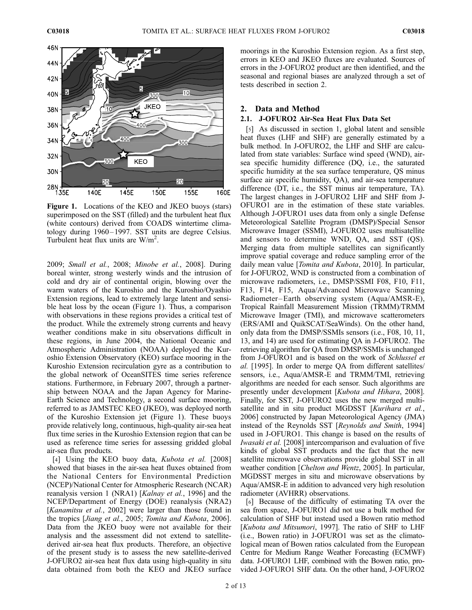

Figure 1. Locations of the KEO and JKEO buoys (stars) superimposed on the SST (filled) and the turbulent heat flux (white contours) derived from COADS wintertime climatology during 1960–1997. SST units are degree Celsius. Turbulent heat flux units are  $W/m^2$ .

2009; Small et al., 2008; Minobe et al., 2008]. During boreal winter, strong westerly winds and the intrusion of cold and dry air of continental origin, blowing over the warm waters of the Kuroshio and the Kuroshio/Oyashio Extension regions, lead to extremely large latent and sensible heat loss by the ocean (Figure 1). Thus, a comparison with observations in these regions provides a critical test of the product. While the extremely strong currents and heavy weather conditions make in situ observations difficult in these regions, in June 2004, the National Oceanic and Atmospheric Administration (NOAA) deployed the Kuroshio Extension Observatory (KEO) surface mooring in the Kuroshio Extension recirculation gyre as a contribution to the global network of OceanSITES time series reference stations. Furthermore, in February 2007, through a partnership between NOAA and the Japan Agency for Marine-Earth Science and Technology, a second surface mooring, referred to as JAMSTEC KEO (JKEO), was deployed north of the Kuroshio Extension jet (Figure 1). These buoys provide relatively long, continuous, high-quality air-sea heat flux time series in the Kuroshio Extension region that can be used as reference time series for assessing gridded global air-sea flux products.

[4] Using the KEO buoy data, *Kubota et al.* [2008] showed that biases in the air-sea heat fluxes obtained from the National Centers for Environmental Prediction (NCEP)/National Center for Atmospheric Research (NCAR) reanalysis version 1 (NRA1) [Kalnay et al., 1996] and the NCEP/Department of Energy (DOE) reanalysis (NRA2) [Kanamitsu et al., 2002] were larger than those found in the tropics [Jiang et al., 2005; Tomita and Kubota, 2006]. Data from the JKEO buoy were not available for their analysis and the assessment did not extend to satellitederived air-sea heat flux products. Therefore, an objective of the present study is to assess the new satellite-derived J-OFURO2 air-sea heat flux data using high-quality in situ data obtained from both the KEO and JKEO surface

moorings in the Kuroshio Extension region. As a first step, errors in KEO and JKEO fluxes are evaluated. Sources of errors in the J-OFURO2 product are then identified, and the seasonal and regional biases are analyzed through a set of tests described in section 2.

# 2. Data and Method

# 2.1. J-OFURO2 Air-Sea Heat Flux Data Set

[5] As discussed in section 1, global latent and sensible heat fluxes (LHF and SHF) are generally estimated by a bulk method. In J-OFURO2, the LHF and SHF are calculated from state variables: Surface wind speed (WND), airsea specific humidity difference (DQ, i.e., the saturated specific humidity at the sea surface temperature, QS minus surface air specific humidity, QA), and air-sea temperature difference (DT, i.e., the SST minus air temperature, TA). The largest changes in J-OFURO2 LHF and SHF from J-OFURO1 are in the estimation of these state variables. Although J-OFURO1 uses data from only a single Defense Meteorological Satellite Program (DMSP)/Special Sensor Microwave Imager (SSMI), J-OFURO2 uses multisatellite and sensors to determine WND, QA, and SST (QS). Merging data from multiple satellites can significantly improve spatial coverage and reduce sampling error of the daily mean value [*Tomita and Kubota*, 2010]. In particular, for J-OFURO2, WND is constructed from a combination of microwave radiometers, i.e., DMSP/SSMI F08, F10, F11, F13, F14, F15, Aqua/Advanced Microwave Scanning Radiometer –Earth observing system (Aqua/AMSR-E), Tropical Rainfall Measurement Mission (TRMM)/TRMM Microwave Imager (TMI), and microwave scatterometers (ERS/AMI and QuikSCAT/SeaWinds). On the other hand, only data from the DMSP/SSMIs sensors (i.e., F08, 10, 11, 13, and 14) are used for estimating QA in J-OFURO2. The retrieving algorithm for QA from DMSP/SSMIs is unchanged from J-OFURO1 and is based on the work of Schlussel et al. [1995]. In order to merge QA from different satellites/ sensors, i.e., Aqua/AMSR-E and TRMM/TMI, retrieving algorithms are needed for each sensor. Such algorithms are presently under development [Kubota and Hihara, 2008]. Finally, for SST, J-OFURO2 uses the new merged multisatellite and in situ product MGDSST [Kurihara et al., 2006] constructed by Japan Meteorological Agency (JMA) instead of the Reynolds SST [Reynolds and Smith, 1994] used in J-OFURO1. This change is based on the results of Iwasaki et al. [2008] intercomparison and evaluation of five kinds of global SST products and the fact that the new satellite microwave observations provide global SST in all weather condition [Chelton and Wentz, 2005]. In particular, MGDSST merges in situ and microwave observations by Aqua/AMSR-E in addition to advanced very high resolution radiometer (AVHRR) observations.

[6] Because of the difficulty of estimating TA over the sea from space, J-OFURO1 did not use a bulk method for calculation of SHF but instead used a Bowen ratio method [Kubota and Mitsumori, 1997]. The ratio of SHF to LHF (i.e., Bowen ratio) in J-OFURO1 was set as the climatological mean of Bowen ratios calculated from the European Centre for Medium Range Weather Forecasting (ECMWF) data. J-OFURO1 LHF, combined with the Bowen ratio, provided J-OFURO1 SHF data. On the other hand, J-OFURO2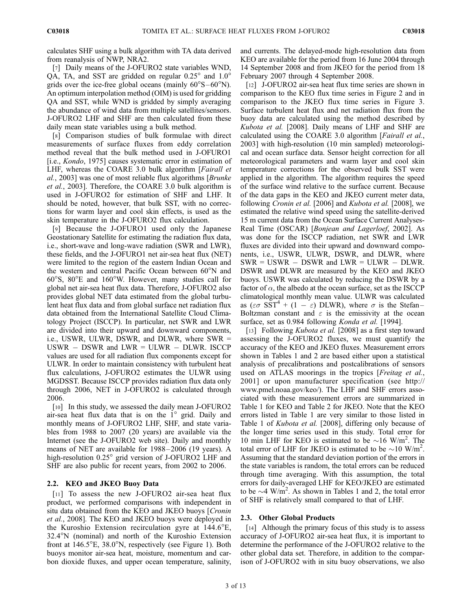calculates SHF using a bulk algorithm with TA data derived from reanalysis of NWP, NRA2.

[7] Daily means of the J-OFURO2 state variables WND, QA, TA, and SST are gridded on regular  $0.25^{\circ}$  and  $1.0^{\circ}$ grids over the ice-free global oceans (mainly  $60^{\circ}S - 60^{\circ}N$ ). An optimum interpolation method (OIM) is used for gridding QA and SST, while WND is gridded by simply averaging the abundance of wind data from multiple satellites/sensors. J-OFURO2 LHF and SHF are then calculated from these daily mean state variables using a bulk method.

[8] Comparison studies of bulk formulae with direct measurements of surface fluxes from eddy correlation method reveal that the bulk method used in J-OFURO1 [i.e., *Kondo*, 1975] causes systematic error in estimation of LHF, whereas the COARE 3.0 bulk algorithm [Fairall et al., 2003] was one of most reliable flux algorithms [Brunke et al., 2003]. Therefore, the COARE 3.0 bulk algorithm is used in J-OFURO2 for estimation of SHF and LHF. It should be noted, however, that bulk SST, with no corrections for warm layer and cool skin effects, is used as the skin temperature in the J-OFURO2 flux calculation.

[9] Because the J-OFURO1 used only the Japanese Geostationary Satellite for estimating the radiation flux data, i.e., short-wave and long-wave radiation (SWR and LWR), these fields, and the J-OFURO1 net air-sea heat flux (NET) were limited to the region of the eastern Indian Ocean and the western and central Pacific Ocean between 60°N and  $60^{\circ}$ S,  $80^{\circ}$ E and  $160^{\circ}$ W. However, many studies call for global net air-sea heat flux data. Therefore, J-OFURO2 also provides global NET data estimated from the global turbulent heat flux data and from global surface net radiation flux data obtained from the International Satellite Cloud Climatology Project (ISCCP). In particular, net SWR and LWR are divided into their upward and downward components, i.e., USWR, ULWR, DSWR, and DLWR, where SWR =  $USWR - DSWR$  and  $LWR = ULWR - DLWR$ . ISCCP values are used for all radiation flux components except for ULWR. In order to maintain consistency with turbulent heat flux calculations, J-OFURO2 estimates the ULWR using MGDSST. Because ISCCP provides radiation flux data only through 2006, NET in J-OFURO2 is calculated through 2006.

[10] In this study, we assessed the daily mean J-OFURO2 air-sea heat flux data that is on the  $1^\circ$  grid. Daily and monthly means of J-OFURO2 LHF, SHF, and state variables from 1988 to 2007 (20 years) are available via the Internet (see the J-OFURO2 web site). Daily and monthly means of NET are available for 1988– 2006 (19 years). A high-resolution 0.25° grid version of J-OFURO2 LHF and SHF are also public for recent years, from 2002 to 2006.

# 2.2. KEO and JKEO Buoy Data

[11] To assess the new J-OFURO2 air-sea heat flux product, we performed comparisons with independent in situ data obtained from the KEO and JKEO buoys [Cronin] et al., 2008]. The KEO and JKEO buoys were deployed in the Kuroshio Extension recirculation gyre at 144.6°E, 32.4°N (nominal) and north of the Kuroshio Extension front at  $146.5^{\circ}E$ ,  $38.0^{\circ}N$ , respectively (see Figure 1). Both buoys monitor air-sea heat, moisture, momentum and carbon dioxide fluxes, and upper ocean temperature, salinity, and currents. The delayed-mode high-resolution data from KEO are available for the period from 16 June 2004 through 14 September 2008 and from JKEO for the period from 18 February 2007 through 4 September 2008.

[12] J-OFURO2 air-sea heat flux time series are shown in comparison to the KEO flux time series in Figure 2 and in comparison to the JKEO flux time series in Figure 3. Surface turbulent heat flux and net radiation flux from the buoy data are calculated using the method described by Kubota et al. [2008]. Daily means of LHF and SHF are calculated using the COARE 3.0 algorithm [Fairall et al., 2003] with high-resolution (10 min sampled) meteorological and ocean surface data. Sensor height correction for all meteorological parameters and warm layer and cool skin temperature corrections for the observed bulk SST were applied in the algorithm. The algorithm requires the speed of the surface wind relative to the surface current. Because of the data gaps in the KEO and JKEO current meter data, following Cronin et al. [2006] and Kubota et al. [2008], we estimated the relative wind speed using the satellite-derived 15 m current data from the Ocean Surface Current Analyses-Real Time (OSCAR) [Bonjean and Lagerloef, 2002]. As was done for the ISCCP radiation, net SWR and LWR fluxes are divided into their upward and downward components, i.e., USWR, ULWR, DSWR, and DLWR, where  $SWR = USWR - DSWR$  and  $LWR = ULWR - DLWR$ . DSWR and DLWR are measured by the KEO and JKEO buoys. USWR was calculated by reducing the DSWR by a factor of  $\alpha$ , the albedo at the ocean surface, set as the ISCCP climatological monthly mean value. ULWR was calculated as ( $\epsilon \sigma$  SST<sup>4</sup> + (1 –  $\epsilon$ ) DLWR), where  $\sigma$  is the Stefan-Boltzman constant and  $\varepsilon$  is the emissivity at the ocean surface, set as 0.984 following Konda et al. [1994].

[13] Following *Kubota et al.* [2008] as a first step toward assessing the J-OFURO2 fluxes, we must quantify the accuracy of the KEO and JKEO fluxes. Measurement errors shown in Tables 1 and 2 are based either upon a statistical analysis of precalibrations and postcalibrations of sensors used on ATLAS moorings in the tropics [Freitag et al., 2001] or upon manufacturer specification (see http:// www.pmel.noaa.gov/keo/). The LHF and SHF errors associated with these measurement errors are summarized in Table 1 for KEO and Table 2 for JKEO. Note that the KEO errors listed in Table 1 are very similar to those listed in Table 1 of Kubota et al. [2008], differing only because of the longer time series used in this study. Total error for 10 min LHF for KEO is estimated to be  $\sim$  16 W/m<sup>2</sup>. The total error of LHF for JKEO is estimated to be  $\sim$ 10 W/m<sup>2</sup>. Assuming that the standard deviation portion of the errors in the state variables is random, the total errors can be reduced through time averaging. With this assumption, the total errors for daily-averaged LHF for KEO/JKEO are estimated to be  $\sim$  4 W/m<sup>2</sup>. As shown in Tables 1 and 2, the total error of SHF is relatively small compared to that of LHF.

#### 2.3. Other Global Products

[14] Although the primary focus of this study is to assess accuracy of J-OFURO2 air-sea heat flux, it is important to determine the performance of the J-OFURO2 relative to the other global data set. Therefore, in addition to the comparison of J-OFURO2 with in situ buoy observations, we also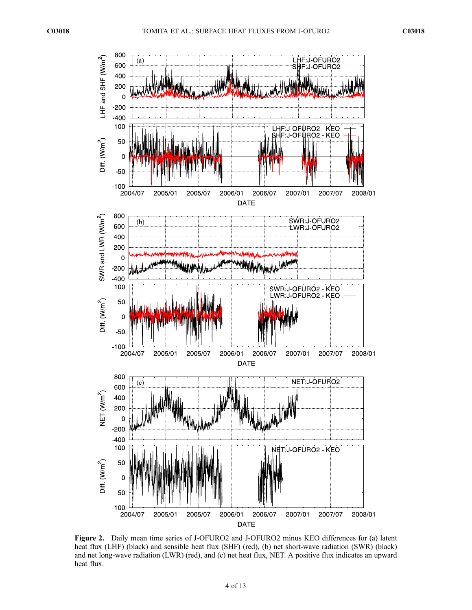

Figure 2. Daily mean time series of J-OFURO2 and J-OFURO2 minus KEO differences for (a) latent heat flux (LHF) (black) and sensible heat flux (SHF) (red), (b) net short-wave radiation (SWR) (black) and net long-wave radiation (LWR) (red), and (c) net heat flux, NET. A positive flux indicates an upward heat flux.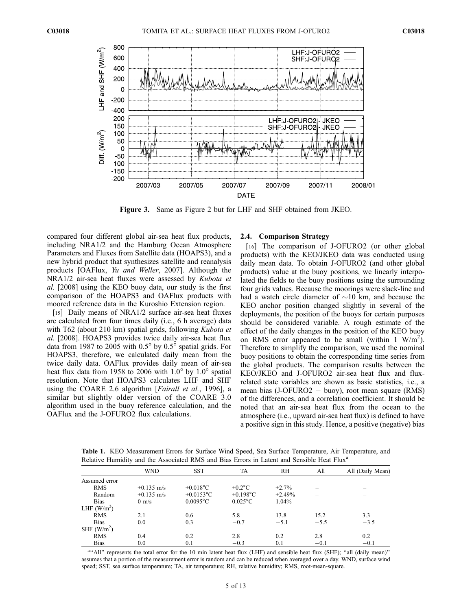

Figure 3. Same as Figure 2 but for LHF and SHF obtained from JKEO.

compared four different global air-sea heat flux products, including NRA1/2 and the Hamburg Ocean Atmosphere Parameters and Fluxes from Satellite data (HOAPS3), and a new hybrid product that synthesizes satellite and reanalysis products [OAFlux, Yu and Weller, 2007]. Although the NRA1/2 air-sea heat fluxes were assessed by Kubota et al. [2008] using the KEO buoy data, our study is the first comparison of the HOAPS3 and OAFlux products with moored reference data in the Kuroshio Extension region.

[15] Daily means of NRA1/2 surface air-sea heat fluxes are calculated from four times daily (i.e., 6 h average) data with T62 (about 210 km) spatial grids, following Kubota et al. [2008]. HOAPS3 provides twice daily air-sea heat flux data from 1987 to 2005 with  $0.5^{\circ}$  by  $0.5^{\circ}$  spatial grids. For HOAPS3, therefore, we calculated daily mean from the twice daily data. OAFlux provides daily mean of air-sea heat flux data from 1958 to 2006 with  $1.0^{\circ}$  by  $1.0^{\circ}$  spatial resolution. Note that HOAPS3 calculates LHF and SHF using the COARE 2.6 algorithm [Fairall et al., 1996], a similar but slightly older version of the COARE 3.0 algorithm used in the buoy reference calculation, and the OAFlux and the J-OFURO2 flux calculations.

#### 2.4. Comparison Strategy

[16] The comparison of J-OFURO2 (or other global products) with the KEO/JKEO data was conducted using daily mean data. To obtain J-OFURO2 (and other global products) value at the buoy positions, we linearly interpolated the fields to the buoy positions using the surrounding four grids values. Because the moorings were slack-line and had a watch circle diameter of  $\sim$ 10 km, and because the KEO anchor position changed slightly in several of the deployments, the position of the buoys for certain purposes should be considered variable. A rough estimate of the effect of the daily changes in the position of the KEO buoy on RMS error appeared to be small (within 1  $W/m^2$ ). Therefore to simplify the comparison, we used the nominal buoy positions to obtain the corresponding time series from the global products. The comparison results between the KEO/JKEO and J-OFURO2 air-sea heat flux and fluxrelated state variables are shown as basic statistics, i.e., a mean bias (J-OFURO2 - buoy), root mean square (RMS) of the differences, and a correlation coefficient. It should be noted that an air-sea heat flux from the ocean to the atmosphere (i.e., upward air-sea heat flux) is defined to have a positive sign in this study. Hence, a positive (negative) bias

Table 1. KEO Measurement Errors for Surface Wind Speed, Sea Surface Temperature, Air Temperature, and Relative Humidity and the Associated RMS and Bias Errors in Latent and Sensible Heat Flux<sup>a</sup>

|               | <b>WND</b>      | <b>SST</b>      | TA                | <b>RH</b>    | All    | All (Daily Mean) |
|---------------|-----------------|-----------------|-------------------|--------------|--------|------------------|
| Assumed error |                 |                 |                   |              |        |                  |
| <b>RMS</b>    | $\pm 0.135$ m/s | $\pm 0.018$ °C  | $\pm 0.2$ °C      | $\pm 2.7\%$  |        |                  |
| Random        | $\pm 0.135$ m/s | $\pm 0.0153$ °C | $\pm 0.198$ °C    | $\pm 2.49\%$ |        |                  |
| <b>Bias</b>   | $0 \text{ m/s}$ | $0.0095$ °C     | $0.025^{\circ}$ C | 1.04%        |        |                  |
| LHF $(W/m2)$  |                 |                 |                   |              |        |                  |
| <b>RMS</b>    | 2.1             | 0.6             | 5.8               | 13.8         | 15.2   | 3.3              |
| <b>Bias</b>   | 0.0             | 0.3             | $-0.7$            | $-5.1$       | $-5.5$ | $-3.5$           |
| SHF $(W/m2)$  |                 |                 |                   |              |        |                  |
| <b>RMS</b>    | 0.4             | 0.2             | 2.8               | 0.2          | 2.8    | 0.2              |
| <b>Bias</b>   | 0.0             | 0.1             | $-0.3$            | 0.1          | $-0.1$ | $-0.1$           |

a"All" represents the total error for the 10 min latent heat flux (LHF) and sensible heat flux (SHF); "all (daily mean)" assumes that a portion of the measurement error is random and can be reduced when averaged over a day. WND, surface wind speed; SST, sea surface temperature; TA, air temperature; RH, relative humidity; RMS, root-mean-square.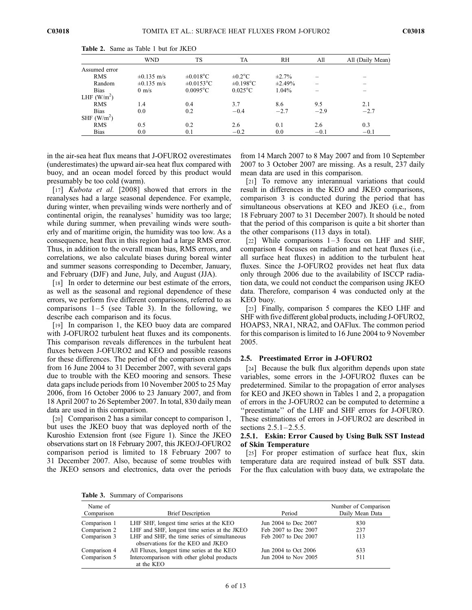|               | <b>WND</b>      | TS              | TA                | RH           | All    | All (Daily Mean)         |
|---------------|-----------------|-----------------|-------------------|--------------|--------|--------------------------|
| Assumed error |                 |                 |                   |              |        |                          |
| <b>RMS</b>    | $\pm 0.135$ m/s | $\pm 0.018$ °C  | $\pm 0.2$ °C      | $\pm 2.7\%$  |        |                          |
| Random        | $\pm 0.135$ m/s | $\pm 0.0153$ °C | $\pm 0.198$ °C    | $\pm 2.49\%$ |        | $\overline{\phantom{a}}$ |
| <b>Bias</b>   | $0 \text{ m/s}$ | $0.0095$ °C     | $0.025^{\circ}$ C | 1.04%        |        |                          |
| LHF $(W/m2)$  |                 |                 |                   |              |        |                          |
| <b>RMS</b>    | 1.4             | 0.4             | 3.7               | 8.6          | 9.5    | 2.1                      |
| <b>Bias</b>   | 0.0             | 0.2             | $-0.4$            | $-2.7$       | $-2.9$ | $-2.7$                   |
| SHF $(W/m2)$  |                 |                 |                   |              |        |                          |
| <b>RMS</b>    | 0.5             | 0.2             | 2.6               | 0.1          | 2.6    | 0.3                      |
| <b>Bias</b>   | 0.0             | 0.1             | $-0.2$            | 0.0          | $-0.1$ | $-0.1$                   |

Table 2. Same as Table 1 but for JKEO

in the air-sea heat flux means that J-OFURO2 overestimates (underestimates) the upward air-sea heat flux compared with buoy, and an ocean model forced by this product would presumably be too cold (warm).

[17] Kubota et al. [2008] showed that errors in the reanalyses had a large seasonal dependence. For example, during winter, when prevailing winds were northerly and of continental origin, the reanalyses' humidity was too large; while during summer, when prevailing winds were southerly and of maritime origin, the humidity was too low. As a consequence, heat flux in this region had a large RMS error. Thus, in addition to the overall mean bias, RMS errors, and correlations, we also calculate biases during boreal winter and summer seasons corresponding to December, January, and February (DJF) and June, July, and August (JJA).

[18] In order to determine our best estimate of the errors, as well as the seasonal and regional dependence of these errors, we perform five different comparisons, referred to as comparisons  $1-5$  (see Table 3). In the following, we describe each comparison and its focus.

[19] In comparison 1, the KEO buoy data are compared with J-OFURO2 turbulent heat fluxes and its components. This comparison reveals differences in the turbulent heat fluxes between J-OFURO2 and KEO and possible reasons for these differences. The period of the comparison extends from 16 June 2004 to 31 December 2007, with several gaps due to trouble with the KEO mooring and sensors. These data gaps include periods from 10 November 2005 to 25 May 2006, from 16 October 2006 to 23 January 2007, and from 18 April 2007 to 26 September 2007. In total, 830 daily mean data are used in this comparison.

[20] Comparison 2 has a similar concept to comparison 1, but uses the JKEO buoy that was deployed north of the Kuroshio Extension front (see Figure 1). Since the JKEO observations start on 18 February 2007, this JKEO/J-OFURO2 comparison period is limited to 18 February 2007 to 31 December 2007. Also, because of some troubles with the JKEO sensors and electronics, data over the periods

from 14 March 2007 to 8 May 2007 and from 10 September 2007 to 3 October 2007 are missing. As a result, 237 daily mean data are used in this comparison.

[21] To remove any interannual variations that could result in differences in the KEO and JKEO comparisons, comparison 3 is conducted during the period that has simultaneous observations at KEO and JKEO (i.e., from 18 February 2007 to 31 December 2007). It should be noted that the period of this comparison is quite a bit shorter than the other comparisons (113 days in total).

[22] While comparisons  $1-3$  focus on LHF and SHF, comparison 4 focuses on radiation and net heat fluxes (i.e., all surface heat fluxes) in addition to the turbulent heat fluxes. Since the J-OFURO2 provides net heat flux data only through 2006 due to the availability of ISCCP radiation data, we could not conduct the comparison using JKEO data. Therefore, comparison 4 was conducted only at the KEO buoy.

[23] Finally, comparison 5 compares the KEO LHF and SHF with five different global products, including J-OFURO2, HOAPS3, NRA1, NRA2, and OAFlux. The common period for this comparison is limited to 16 June 2004 to 9 November 2005.

## 2.5. Preestimated Error in J-OFURO2

[24] Because the bulk flux algorithm depends upon state variables, some errors in the J-OFURO2 fluxes can be predetermined. Similar to the propagation of error analyses for KEO and JKEO shown in Tables 1 and 2, a propagation of errors in the J-OFURO2 can be computed to determine a ''preestimate'' of the LHF and SHF errors for J-OFURO. These estimations of errors in J-OFURO2 are described in sections  $2.5.1 - 2.5.5$ .

# 2.5.1. Eskin: Error Caused by Using Bulk SST Instead of Skin Temperature

[25] For proper estimation of surface heat flux, skin temperature data are required instead of bulk SST data. For the flux calculation with buoy data, we extrapolate the

Table 3. Summary of Comparisons

| Name of<br>Comparison | <b>Brief Description</b>                                                          | Period               | Number of Comparison<br>Daily Mean Data |
|-----------------------|-----------------------------------------------------------------------------------|----------------------|-----------------------------------------|
|                       |                                                                                   |                      |                                         |
| Comparison 1          | LHF SHF, longest time series at the KEO                                           | Jun 2004 to Dec 2007 | 830                                     |
| Comparison 2          | LHF and SHF, longest time series at the JKEO                                      | Feb 2007 to Dec 2007 | 237                                     |
| Comparison 3          | LHF and SHF, the time series of simultaneous<br>observations for the KEO and JKEO | Feb 2007 to Dec 2007 | 113                                     |
| Comparison 4          | All Fluxes, longest time series at the KEO                                        | Jun 2004 to Oct 2006 | 633                                     |
| Comparison 5          | Intercomparison with other global products<br>at the KEO                          | Jun 2004 to Nov 2005 | 511                                     |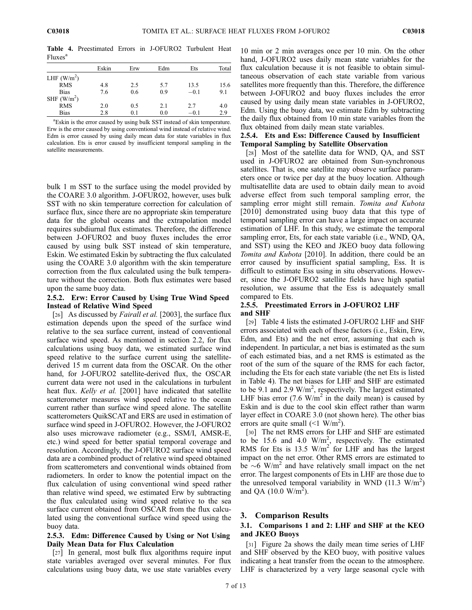Table 4. Preestimated Errors in J-OFURO2 Turbulent Heat Fluxes<sup>a</sup>

|              | Eskin | Erw | Edm | Ets    | Total |  |  |  |  |
|--------------|-------|-----|-----|--------|-------|--|--|--|--|
| LHF $(W/m2)$ |       |     |     |        |       |  |  |  |  |
| <b>RMS</b>   | 4.8   | 2.5 | 5.7 | 13.5   | 15.6  |  |  |  |  |
| <b>Bias</b>  | 7.6   | 0.6 | 0.9 | $-0.1$ | 9.1   |  |  |  |  |
| SHF $(W/m2)$ |       |     |     |        |       |  |  |  |  |
| <b>RMS</b>   | 2.0   | 0.5 | 2.1 | 2.7    | 4.0   |  |  |  |  |
| <b>Bias</b>  | 2.8   | 0.1 | 0.0 | $-0.1$ | 2.9   |  |  |  |  |

<sup>a</sup>Eskin is the error caused by using bulk SST instead of skin temperature. Erw is the error caused by using conventional wind instead of relative wind. Edm is error caused by using daily mean data for state variables in flux calculation. Ets is error caused by insufficient temporal sampling in the satellite measurements.

bulk 1 m SST to the surface using the model provided by the COARE 3.0 algorithm. J-OFURO2, however, uses bulk SST with no skin temperature correction for calculation of surface flux, since there are no appropriate skin temperature data for the global oceans and the extrapolation model requires subdiurnal flux estimates. Therefore, the difference between J-OFURO2 and buoy fluxes includes the error caused by using bulk SST instead of skin temperature, Eskin. We estimated Eskin by subtracting the flux calculated using the COARE 3.0 algorithm with the skin temperature correction from the flux calculated using the bulk temperature without the correction. Both flux estimates were based upon the same buoy data.

#### 2.5.2. Erw: Error Caused by Using True Wind Speed Instead of Relative Wind Speed

[26] As discussed by *Fairall et al.* [2003], the surface flux estimation depends upon the speed of the surface wind relative to the sea surface current, instead of conventional surface wind speed. As mentioned in section 2.2, for flux calculations using buoy data, we estimated surface wind speed relative to the surface current using the satellitederived 15 m current data from the OSCAR. On the other hand, for J-OFURO2 satellite-derived flux, the OSCAR current data were not used in the calculations in turbulent heat flux. Kelly et al. [2001] have indicated that satellite scatterometer measures wind speed relative to the ocean current rather than surface wind speed alone. The satellite scatterometers QuikSCAT and ERS are used in estimation of surface wind speed in J-OFURO2. However, the J-OFURO2 also uses microwave radiometer (e.g., SSM/I, AMSR-E, etc.) wind speed for better spatial temporal coverage and resolution. Accordingly, the J-OFURO2 surface wind speed data are a combined product of relative wind speed obtained from scatterometers and conventional winds obtained from radiometers. In order to know the potential impact on the flux calculation of using conventional wind speed rather than relative wind speed, we estimated Erw by subtracting the flux calculated using wind speed relative to the sea surface current obtained from OSCAR from the flux calculated using the conventional surface wind speed using the buoy data.

# 2.5.3. Edm: Difference Caused by Using or Not Using Daily Mean Data for Flux Calculation

[27] In general, most bulk flux algorithms require input state variables averaged over several minutes. For flux calculations using buoy data, we use state variables every

10 min or 2 min averages once per 10 min. On the other hand, J-OFURO2 uses daily mean state variables for the flux calculation because it is not feasible to obtain simultaneous observation of each state variable from various satellites more frequently than this. Therefore, the difference between J-OFURO2 and buoy fluxes includes the error caused by using daily mean state variables in J-OFURO2, Edm. Using the buoy data, we estimate Edm by subtracting the daily flux obtained from 10 min state variables from the flux obtained from daily mean state variables.

# 2.5.4. Ets and Ess: Difference Caused by Insufficient Temporal Sampling by Satellite Observation

[28] Most of the satellite data for WND, QA, and SST used in J-OFURO2 are obtained from Sun-synchronous satellites. That is, one satellite may observe surface parameters once or twice per day at the buoy location. Although multisatellite data are used to obtain daily mean to avoid adverse effect from such temporal sampling error, the sampling error might still remain. Tomita and Kubota [2010] demonstrated using buoy data that this type of temporal sampling error can have a large impact on accurate estimation of LHF. In this study, we estimate the temporal sampling error, Ets, for each state variable (i.e., WND, QA, and SST) using the KEO and JKEO buoy data following Tomita and Kubota [2010]. In addition, there could be an error caused by insufficient spatial sampling, Ess. It is difficult to estimate Ess using in situ observations. However, since the J-OFURO2 satellite fields have high spatial resolution, we assume that the Ess is adequately small compared to Ets.

## 2.5.5. Preestimated Errors in J-OFURO2 LHF and SHF

[29] Table 4 lists the estimated J-OFURO2 LHF and SHF errors associated with each of these factors (i.e., Eskin, Erw, Edm, and Ets) and the net error, assuming that each is independent. In particular, a net bias is estimated as the sum of each estimated bias, and a net RMS is estimated as the root of the sum of the square of the RMS for each factor, including the Ets for each state variable (the net Ets is listed in Table 4). The net biases for LHF and SHF are estimated to be 9.1 and 2.9  $W/m^2$ , respectively. The largest estimated LHF bias error (7.6  $W/m^2$  in the daily mean) is caused by Eskin and is due to the cool skin effect rather than warm layer effect in COARE 3.0 (not shown here). The other bias errors are quite small  $(<1 \ \text{W/m}^2)$ .

[30] The net RMS errors for LHF and SHF are estimated to be 15.6 and 4.0  $W/m<sup>2</sup>$ , respectively. The estimated RMS for Ets is 13.5  $W/m^2$  for LHF and has the largest impact on the net error. Other RMS errors are estimated to be  $\sim$  6 W/m<sup>2</sup> and have relatively small impact on the net error. The largest components of Ets in LHF are those due to the unresolved temporal variability in WND (11.3  $W/m<sup>2</sup>$ ) and QA  $(10.0 \text{ W/m}^2)$ .

# 3. Comparison Results

# 3.1. Comparisons 1 and 2: LHF and SHF at the KEO and JKEO Buoys

[31] Figure 2a shows the daily mean time series of LHF and SHF observed by the KEO buoy, with positive values indicating a heat transfer from the ocean to the atmosphere. LHF is characterized by a very large seasonal cycle with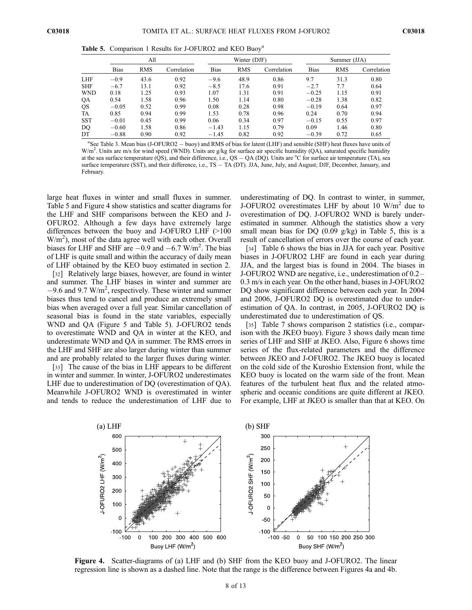Table 5. Comparison 1 Results for J-OFURO2 and KEO Buoy<sup>a</sup>

|            |             | All        |             |             | Winter (DJF) |             | Summer (JJA) |            |             |
|------------|-------------|------------|-------------|-------------|--------------|-------------|--------------|------------|-------------|
|            | <b>Bias</b> | <b>RMS</b> | Correlation | <b>Bias</b> | <b>RMS</b>   | Correlation | <b>Bias</b>  | <b>RMS</b> | Correlation |
| LHF        | $-0.9$      | 43.6       | 0.92        | $-9.6$      | 48.9         | 0.86        | 9.7          | 31.3       | 0.80        |
| <b>SHF</b> | $-6.7$      | 13.1       | 0.92        | $-8.5$      | 17.6         | 0.91        | $-2.7$       | 7.7        | 0.64        |
| WND        | 0.18        | 1.25       | 0.93        | 1.07        | 1.31         | 0.91        | $-0.25$      | 1.15       | 0.91        |
| QA         | 0.54        | 1.58       | 0.96        | 1.50        | 1.14         | 0.80        | $-0.28$      | 1.38       | 0.82        |
| QS         | $-0.05$     | 0.52       | 0.99        | 0.08        | 0.28         | 0.98        | $-0.19$      | 0.64       | 0.97        |
| TA         | 0.85        | 0.94       | 0.99        | 1.53        | 0.78         | 0.96        | 0.24         | 0.70       | 0.94        |
| <b>SST</b> | $-0.01$     | 0.45       | 0.99        | 0.06        | 0.34         | 0.97        | $-0.15$      | 0.55       | 0.97        |
| DO         | $-0.60$     | 1.58       | 0.86        | $-1.43$     | 1.15         | 0.79        | 0.09         | 1.46       | 0.80        |
| DТ         | $-0.88$     | 0.90       | 0.92        | $-1.45$     | 0.82         | 0.92        | $-0.39$      | 0.72       | 0.65        |
|            |             |            |             |             |              |             |              |            |             |

<sup>a</sup>See Table 3. Mean bias (J-OFURO2 - buoy) and RMS of bias for latent (LHF) and sensible (SHF) heat fluxes have units of  $W/m^2$ . Units are m/s for wind speed (WND). Units are g/kg for surface air specific humidity (QA), saturated specific humidity at the sea surface temperature (QS), and their difference, i.e.,  $QS - QA (DQ)$ . Units are  $°C$  for surface air temperature (TA), sea surface temperature (SST), and their difference, i.e., TS - TA (DT). JJA, June, July, and August; DJF, December, January, and February.

large heat fluxes in winter and small fluxes in summer. Table 5 and Figure 4 show statistics and scatter diagrams for the LHF and SHF comparisons between the KEO and J-OFURO2. Although a few days have extremely large differences between the buoy and J-OFURO LHF (>100 W/m<sup>2</sup>), most of the data agree well with each other. Overall biases for LHF and SHF are  $-0.9$  and  $-6.7$  W/m<sup>2</sup>. The bias of LHF is quite small and within the accuracy of daily mean of LHF obtained by the KEO buoy estimated in section 2.

[32] Relatively large biases, however, are found in winter and summer. The LHF biases in winter and summer are  $-9.6$  and  $9.7$  W/m<sup>2</sup>, respectively. These winter and summer biases thus tend to cancel and produce an extremely small bias when averaged over a full year. Similar cancellation of seasonal bias is found in the state variables, especially WND and QA (Figure 5 and Table 5). J-OFURO2 tends to overestimate WND and QA in winter at the KEO, and underestimate WND and QA in summer. The RMS errors in the LHF and SHF are also larger during winter than summer and are probably related to the larger fluxes during winter.

[33] The cause of the bias in LHF appears to be different in winter and summer. In winter, J-OFURO2 underestimates LHF due to underestimation of DQ (overestimation of QA). Meanwhile J-OFURO2 WND is overestimated in winter and tends to reduce the underestimation of LHF due to

underestimating of DQ. In contrast to winter, in summer, J-OFURO2 overestimates LHF by about 10  $W/m<sup>2</sup>$  due to overestimation of DQ. J-OFURO2 WND is barely underestimated in summer. Although the statistics show a very small mean bias for DQ  $(0.09 \text{ g/kg})$  in Table 5, this is a result of cancellation of errors over the course of each year.

[34] Table 6 shows the bias in JJA for each year. Positive biases in J-OFURO2 LHF are found in each year during JJA, and the largest bias is found in 2004. The biases in J-OFURO2 WND are negative, i.e., underestimation of 0.2– 0.3 m/s in each year. On the other hand, biases in J-OFURO2 DQ show significant difference between each year. In 2004 and 2006, J-OFURO2 DQ is overestimated due to underestimation of QA. In contrast, in 2005, J-OFURO2 DQ is underestimated due to underestimation of QS.

[35] Table 7 shows comparison 2 statistics (i.e., comparison with the JKEO buoy). Figure 3 shows daily mean time series of LHF and SHF at JKEO. Also, Figure 6 shows time series of the flux-related parameters and the difference between JKEO and J-OFURO2. The JKEO buoy is located on the cold side of the Kuroshio Extension front, while the KEO buoy is located on the warm side of the front. Mean features of the turbulent heat flux and the related atmospheric and oceanic conditions are quite different at JKEO. For example, LHF at JKEO is smaller than that at KEO. On



Figure 4. Scatter-diagrams of (a) LHF and (b) SHF from the KEO buoy and J-OFURO2. The linear regression line is shown as a dashed line. Note that the range is the difference between Figures 4a and 4b.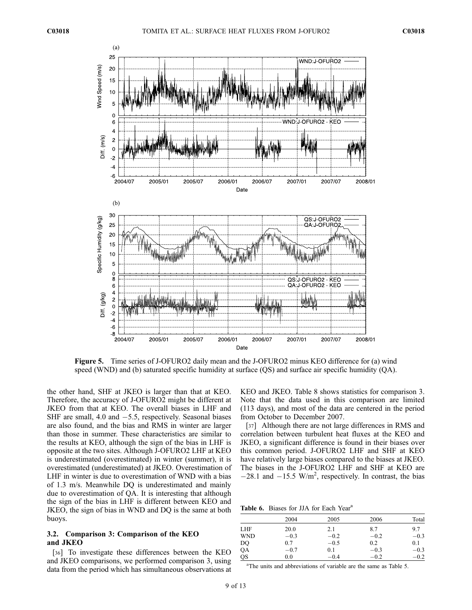

Figure 5. Time series of J-OFURO2 daily mean and the J-OFURO2 minus KEO difference for (a) wind speed (WND) and (b) saturated specific humidity at surface (QS) and surface air specific humidity (QA).

the other hand, SHF at JKEO is larger than that at KEO. Therefore, the accuracy of J-OFURO2 might be different at JKEO from that at KEO. The overall biases in LHF and SHF are small, 4.0 and  $-5.5$ , respectively. Seasonal biases are also found, and the bias and RMS in winter are larger than those in summer. These characteristics are similar to the results at KEO, although the sign of the bias in LHF is opposite at the two sites. Although J-OFURO2 LHF at KEO is underestimated (overestimated) in winter (summer), it is overestimated (underestimated) at JKEO. Overestimation of LHF in winter is due to overestimation of WND with a bias of 1.3 m/s. Meanwhile DQ is underestimated and mainly due to overestimation of QA. It is interesting that although the sign of the bias in LHF is different between KEO and JKEO, the sign of bias in WND and DQ is the same at both buoys.

# 3.2. Comparison 3: Comparison of the KEO and JKEO

[36] To investigate these differences between the KEO and JKEO comparisons, we performed comparison 3, using data from the period which has simultaneous observations at KEO and JKEO. Table 8 shows statistics for comparison 3. Note that the data used in this comparison are limited (113 days), and most of the data are centered in the period from October to December 2007.

[37] Although there are not large differences in RMS and correlation between turbulent heat fluxes at the KEO and JKEO, a significant difference is found in their biases over this common period. J-OFURO2 LHF and SHF at KEO have relatively large biases compared to the biases at JKEO. The biases in the J-OFURO2 LHF and SHF at KEO are  $-28.1$  and  $-15.5$  W/m<sup>2</sup>, respectively. In contrast, the bias

Table 6. Biases for JJA for Each Year<sup>a</sup>

|            | 2004   | 2005   | 2006   | Total  |
|------------|--------|--------|--------|--------|
| LHF        | 20.0   | 2.1    | 8.7    | 9.7    |
| <b>WND</b> | $-0.3$ | $-0.2$ | $-0.2$ | $-0.3$ |
| DQ         | 0.7    | $-0.5$ | 0.2    | 0.1    |
| QA         | $-0.7$ | 0.1    | $-0.3$ | $-0.3$ |
| QS         | 0.0    | $-0.4$ | $-0.2$ | $-0.2$ |

<sup>a</sup>The units and abbreviations of variable are the same as Table 5.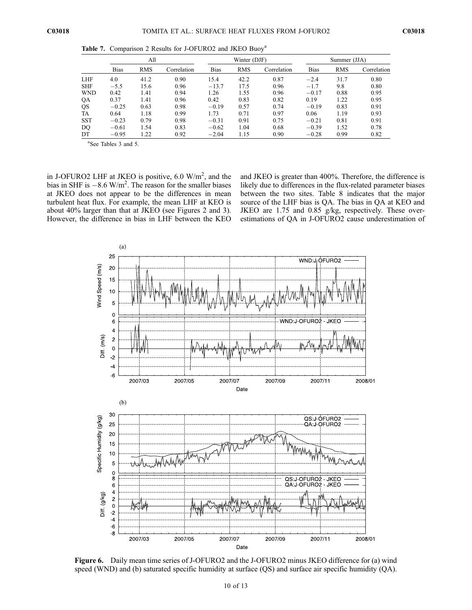|            |             | All        |             |             | Winter (DJF) |             |             | Summer (JJA) |             |  |
|------------|-------------|------------|-------------|-------------|--------------|-------------|-------------|--------------|-------------|--|
|            | <b>Bias</b> | <b>RMS</b> | Correlation | <b>Bias</b> | <b>RMS</b>   | Correlation | <b>Bias</b> | <b>RMS</b>   | Correlation |  |
| LHF        | 4.0         | 41.2       | 0.90        | 15.4        | 42.2         | 0.87        | $-2.4$      | 31.7         | 0.80        |  |
| <b>SHF</b> | $-5.5$      | 15.6       | 0.96        | $-13.7$     | 17.5         | 0.96        | $-1.7$      | 9.8          | 0.80        |  |
| WND        | 0.42        | 1.41       | 0.94        | 1.26        | 1.55         | 0.96        | $-0.17$     | 0.88         | 0.95        |  |
| QA         | 0.37        | 1.41       | 0.96        | 0.42        | 0.83         | 0.82        | 0.19        | 1.22         | 0.95        |  |
| QS         | $-0.25$     | 0.63       | 0.98        | $-0.19$     | 0.57         | 0.74        | $-0.19$     | 0.83         | 0.91        |  |
| TA         | 0.64        | 1.18       | 0.99        | 1.73        | 0.71         | 0.97        | 0.06        | 1.19         | 0.93        |  |
| <b>SST</b> | $-0.23$     | 0.79       | 0.98        | $-0.31$     | 0.91         | 0.75        | $-0.21$     | 0.81         | 0.91        |  |
| DQ         | $-0.61$     | 1.54       | 0.83        | $-0.62$     | 1.04         | 0.68        | $-0.39$     | 1.52         | 0.78        |  |
| DT         | $-0.95$     | 1.22       | 0.92        | $-2.04$     | 1.15         | 0.90        | $-0.28$     | 0.99         | 0.82        |  |

Table 7. Comparison 2 Results for J-OFURO2 and JKEO Buoy<sup>a</sup>

a See Tables 3 and 5.

in J-OFURO2 LHF at JKEO is positive,  $6.0 \text{ W/m}^2$ , and the bias in SHF is  $-8.6$  W/m<sup>2</sup>. The reason for the smaller biases at JKEO does not appear to be the differences in mean turbulent heat flux. For example, the mean LHF at KEO is about 40% larger than that at JKEO (see Figures 2 and 3). However, the difference in bias in LHF between the KEO

and JKEO is greater than 400%. Therefore, the difference is likely due to differences in the flux-related parameter biases between the two sites. Table 8 indicates that the major source of the LHF bias is QA. The bias in QA at KEO and JKEO are 1.75 and 0.85 g/kg, respectively. These overestimations of QA in J-OFURO2 cause underestimation of



Figure 6. Daily mean time series of J-OFURO2 and the J-OFURO2 minus JKEO difference for (a) wind speed (WND) and (b) saturated specific humidity at surface (OS) and surface air specific humidity (OA).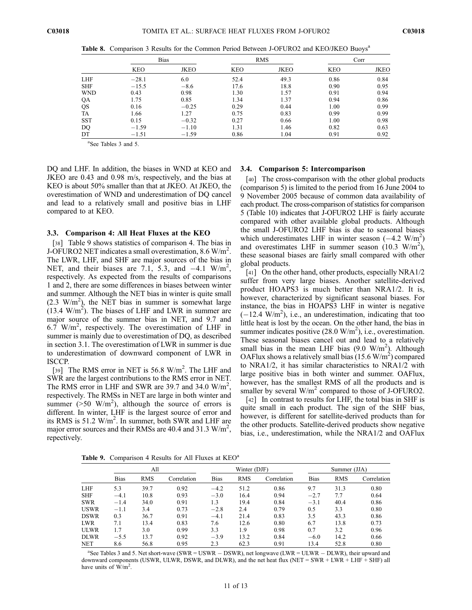|            |            | <b>Bias</b> |      | <b>RMS</b>  | Corr       |      |
|------------|------------|-------------|------|-------------|------------|------|
|            | <b>KEO</b> | JKEO        | KEO  | <b>JKEO</b> | <b>KEO</b> | JKEO |
| <b>LHF</b> | $-28.1$    | 6.0         | 52.4 | 49.3        | 0.86       | 0.84 |
| <b>SHF</b> | $-15.5$    | $-8.6$      | 17.6 | 18.8        | 0.90       | 0.95 |
| <b>WND</b> | 0.43       | 0.98        | 1.30 | 1.57        | 0.91       | 0.94 |
| QA         | 1.75       | 0.85        | 1.34 | 1.37        | 0.94       | 0.86 |
| QS         | 0.16       | $-0.25$     | 0.29 | 0.44        | 1.00       | 0.99 |
| TA         | 1.66       | 1.27        | 0.75 | 0.83        | 0.99       | 0.99 |
| <b>SST</b> | 0.15       | $-0.32$     | 0.27 | 0.66        | 1.00       | 0.98 |
| DQ         | $-1.59$    | $-1.10$     | 1.31 | 1.46        | 0.82       | 0.63 |
| DT         | $-1.51$    | $-1.59$     | 0.86 | 1.04        | 0.91       | 0.92 |

Table 8. Comparison 3 Results for the Common Period Between J-OFURO2 and KEO/JKEO Buoys<sup>a</sup>

a See Tables 3 and 5.

DQ and LHF. In addition, the biases in WND at KEO and JKEO are 0.43 and 0.98 m/s, respectively, and the bias at KEO is about 50% smaller than that at JKEO. At JKEO, the overestimation of WND and underestimation of DQ cancel and lead to a relatively small and positive bias in LHF compared to at KEO.

#### 3.3. Comparison 4: All Heat Fluxes at the KEO

[38] Table 9 shows statistics of comparison 4. The bias in J-OFURO2 NET indicates a small overestimation, 8.6 W/m<sup>2</sup>. The LWR, LHF, and SHF are major sources of the bias in NET, and their biases are 7.1, 5.3, and  $-4.1$  W/m<sup>2</sup>, respectively. As expected from the results of comparisons 1 and 2, there are some differences in biases between winter and summer. Although the NET bias in winter is quite small  $(2.3 \text{ W/m}^2)$ , the NET bias in summer is somewhat large  $(13.4 \text{ W/m}^2)$ . The biases of LHF and LWR in summer are major source of the summer bias in NET, and 9.7 and 6.7 W/m<sup>2</sup>, respectively. The overestimation of LHF in summer is mainly due to overestimation of DQ, as described in section 3.1. The overestimation of LWR in summer is due to underestimation of downward component of LWR in ISCCP.

[39] The RMS error in NET is 56.8 W/m<sup>2</sup>. The LHF and SWR are the largest contributions to the RMS error in NET. The RMS error in LHF and SWR are 39.7 and 34.0  $W/m^2$ , respectively. The RMSs in NET are large in both winter and summer ( $>$ 50 W/m<sup>2</sup>), although the source of errors is different. In winter, LHF is the largest source of error and its RMS is 51.2  $W/m^2$ . In summer, both SWR and LHF are major error sources and their RMSs are 40.4 and 31.3  $W/m^2$ , repectively.

## 3.4. Comparison 5: Intercomparison

[40] The cross-comparison with the other global products (comparison 5) is limited to the period from 16 June 2004 to 9 November 2005 because of common data availability of each product. The cross-comparison of statistics for comparison 5 (Table 10) indicates that J-OFURO2 LHF is fairly accurate compared with other available global products. Although the small J-OFURO2 LHF bias is due to seasonal biases which underestimates LHF in winter season  $(-4.2 \text{ W/m}^2)$ and overestimates LHF in summer season  $(10.3 \text{ W/m}^2)$ , these seasonal biases are fairly small compared with other global products.

[41] On the other hand, other products, especially NRA1/2 suffer from very large biases. Another satellite-derived product HOAPS3 is much better than NRA1/2. It is, however, characterized by significant seasonal biases. For instance, the bias in HOAPS3 LHF in winter is negative  $(-12.4 \text{ W/m}^2)$ , i.e., an underestimation, indicating that too little heat is lost by the ocean. On the other hand, the bias in summer indicates positive  $(28.0 \text{ W/m}^2)$ , i.e., overestimation. These seasonal biases cancel out and lead to a relatively small bias in the mean LHF bias  $(9.0 \text{ W/m}^2)$ . Although OAFlux shows a relatively small bias  $(15.6 \text{ W/m}^2)$  compared to NRA1/2, it has similar characteristics to NRA1/2 with large positive bias in both winter and summer. OAFlux, however, has the smallest RMS of all the products and is smaller by several  $W/m^2$  compared to those of J-OFURO2.

[42] In contrast to results for LHF, the total bias in SHF is quite small in each product. The sign of the SHF bias, however, is different for satellite-derived products than for the other products. Satellite-derived products show negative bias, i.e., underestimation, while the NRA1/2 and OAFlux

Table 9. Comparison 4 Results for All Fluxes at KEO<sup>a</sup>

|             | All         |            |             |             | Winter (DJF) |             | Summer (JJA) |            |             |
|-------------|-------------|------------|-------------|-------------|--------------|-------------|--------------|------------|-------------|
|             | <b>Bias</b> | <b>RMS</b> | Correlation | <b>Bias</b> | <b>RMS</b>   | Correlation | <b>Bias</b>  | <b>RMS</b> | Correlation |
| <b>LHF</b>  | 5.3         | 39.7       | 0.92        | $-4.2$      | 51.2         | 0.86        | 9.7          | 31.3       | 0.80        |
| <b>SHF</b>  | $-4.1$      | 10.8       | 0.93        | $-3.0$      | 16.4         | 0.94        | $-2.7$       | 7.7        | 0.64        |
| <b>SWR</b>  | $-1.4$      | 34.0       | 0.91        | 1.3         | 19.4         | 0.84        | $-3.1$       | 40.4       | 0.86        |
| <b>USWR</b> | $-1.1$      | 3.4        | 0.73        | $-2.8$      | 2.4          | 0.79        | 0.5          | 3.3        | 0.80        |
| <b>DSWR</b> | 0.3         | 36.7       | 0.91        | $-4.1$      | 21.4         | 0.83        | 3.5          | 43.3       | 0.86        |
| <b>LWR</b>  | 7.1         | 13.4       | 0.83        | 7.6         | 12.6         | 0.80        | 6.7          | 13.8       | 0.73        |
| <b>ULWR</b> | 1.7         | 3.0        | 0.99        | 3.3         | 1.9          | 0.98        | 0.7          | 3.2        | 0.96        |
| <b>DLWR</b> | $-5.5$      | 13.7       | 0.92        | $-3.9$      | 13.2         | 0.84        | $-6.0$       | 14.2       | 0.66        |
| <b>NET</b>  | 8.6         | 56.8       | 0.95        | 2.3         | 62.3         | 0.91        | 13.4         | 52.8       | 0.80        |

<sup>a</sup>See Tables 3 and 5. Net short-wave (SWR = USWR - DSWR), net longwave (LWR = ULWR - DLWR), their upward and downward components (USWR, ULWR, DSWR, and DLWR), and the net heat flux ( $NET = SWR + LWR + LHF + SHF$ ) all have units of  $\dot{W}/m^2$ .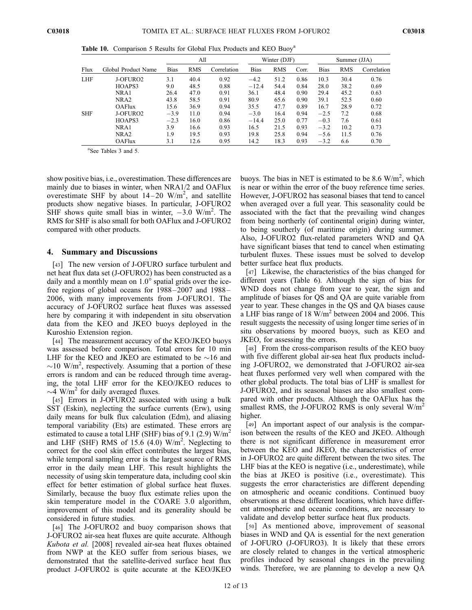|            |                     |             | All        |             |             | Winter (DJF) |       |             | Summer (JJA) |             |  |
|------------|---------------------|-------------|------------|-------------|-------------|--------------|-------|-------------|--------------|-------------|--|
| Flux       | Global Product Name | <b>Bias</b> | <b>RMS</b> | Correlation | <b>Bias</b> | <b>RMS</b>   | Corr. | <b>Bias</b> | <b>RMS</b>   | Correlation |  |
| <b>LHF</b> | J-OFURO2            | 3.1         | 40.4       | 0.92        | $-4.2$      | 51.2         | 0.86  | 10.3        | 30.4         | 0.76        |  |
|            | HOAPS3              | 9.0         | 48.5       | 0.88        | $-12.4$     | 54.4         | 0.84  | 28.0        | 38.2         | 0.69        |  |
|            | NRA1                | 26.4        | 47.0       | 0.91        | 36.1        | 48.4         | 0.90  | 29.4        | 45.2         | 0.63        |  |
|            | NRA <sub>2</sub>    | 43.8        | 58.5       | 0.91        | 80.9        | 65.6         | 0.90  | 39.1        | 52.5         | 0.60        |  |
|            | <b>OAFlux</b>       | 15.6        | 36.9       | 0.94        | 35.5        | 47.7         | 0.89  | 16.7        | 28.9         | 0.72        |  |
| <b>SHF</b> | J-OFURO2            | $-3.9$      | 11.0       | 0.94        | $-3.0$      | 16.4         | 0.94  | $-2.5$      | 7.2          | 0.68        |  |
|            | HOAPS3              | $-2.3$      | 16.0       | 0.86        | $-14.4$     | 25.0         | 0.77  | $-0.3$      | 7.6          | 0.61        |  |
|            | NRA1                | 3.9         | 16.6       | 0.93        | 16.5        | 21.5         | 0.93  | $-3.2$      | 10.2         | 0.73        |  |
|            | NRA <sub>2</sub>    | 1.9         | 19.5       | 0.93        | 19.8        | 25.8         | 0.94  | $-5.6$      | 11.5         | 0.76        |  |
|            | <b>OAFlux</b>       | 3.1         | 12.6       | 0.95        | 14.2        | 18.3         | 0.93  | $-3.2$      | 6.6          | 0.70        |  |

Table 10. Comparison 5 Results for Global Flux Products and KEO Buoy<sup>a</sup>

a See Tables 3 and 5.

show positive bias, i.e., overestimation. These differences are mainly due to biases in winter, when NRA1/2 and OAFlux overestimate SHF by about  $14-20$  W/m<sup>2</sup>, and satellite products show negative biases. In particular, J-OFURO2 SHF shows quite small bias in winter,  $-3.0$  W/m<sup>2</sup>. The RMS for SHF is also small for both OAFlux and J-OFURO2 compared with other products.

#### 4. Summary and Discussions

[43] The new version of J-OFURO surface turbulent and net heat flux data set (J-OFURO2) has been constructed as a daily and a monthly mean on  $1.0^{\circ}$  spatial grids over the icefree regions of global oceans for 1988– 2007 and 1988 – 2006, with many improvements from J-OFURO1. The accuracy of J-OFURO2 surface heat fluxes was assessed here by comparing it with independent in situ observation data from the KEO and JKEO buoys deployed in the Kuroshio Extension region.

[44] The measurement accuracy of the KEO/JKEO buoys was assessed before comparison. Total errors for 10 min LHF for the KEO and JKEO are estimated to be  $\sim$ 16 and  $\sim$ 10 W/m<sup>2</sup>, respectively. Assuming that a portion of these errors is random and can be reduced through time averaging, the total LHF error for the KEO/JKEO reduces to  $\sim$ 4 W/m<sup>2</sup> for daily averaged fluxes.

[45] Errors in J-OFURO2 associated with using a bulk SST (Eskin), neglecting the surface currents (Erw), using daily means for bulk flux calculation (Edm), and aliasing temporal variability (Ets) are estimated. These errors are estimated to cause a total LHF (SHF) bias of 9.1 (2.9)  $W/m^2$ and LHF (SHF) RMS of 15.6  $(4.0)$  W/m<sup>2</sup>. Neglecting to correct for the cool skin effect contributes the largest bias, while temporal sampling error is the largest source of RMS error in the daily mean LHF. This result highlights the necessity of using skin temperature data, including cool skin effect for better estimation of global surface heat fluxes. Similarly, because the buoy flux estimate relies upon the skin temperature model in the COARE 3.0 algorithm, improvement of this model and its generality should be considered in future studies.

[46] The J-OFURO2 and buoy comparison shows that J-OFURO2 air-sea heat fluxes are quite accurate. Although Kubota et al. [2008] revealed air-sea heat fluxes obtained from NWP at the KEO suffer from serious biases, we demonstrated that the satellite-derived surface heat flux product J-OFURO2 is quite accurate at the KEO/JKEO

buoys. The bias in NET is estimated to be 8.6  $W/m^2$ , which is near or within the error of the buoy reference time series. However, J-OFURO2 has seasonal biases that tend to cancel when averaged over a full year. This seasonality could be associated with the fact that the prevailing wind changes from being northerly (of continental origin) during winter, to being southerly (of maritime origin) during summer. Also, J-OFURO2 flux-related parameters WND and QA have significant biases that tend to cancel when estimating turbulent fluxes. These issues must be solved to develop better surface heat flux products.

[47] Likewise, the characteristics of the bias changed for different years (Table 6). Although the sign of bias for WND does not change from year to year, the sign and amplitude of biases for QS and QA are quite variable from year to year. These changes in the QS and QA biases cause a LHF bias range of 18  $\text{W/m}^2$  between 2004 and 2006. This result suggests the necessity of using longer time series of in situ observations by moored buoys, such as KEO and JKEO, for assessing the errors.

[48] From the cross-comparison results of the KEO buoy with five different global air-sea heat flux products including J-OFURO2, we demonstrated that J-OFURO2 air-sea heat fluxes performed very well when compared with the other global products. The total bias of LHF is smallest for J-OFURO2, and its seasonal biases are also smallest compared with other products. Although the OAFlux has the smallest RMS, the J-OFURO2 RMS is only several  $W/m<sup>2</sup>$ higher.

[49] An important aspect of our analysis is the comparison between the results of the KEO and JKEO. Although there is not significant difference in measurement error between the KEO and JKEO, the characteristics of error in J-OFURO2 are quite different between the two sites. The LHF bias at the KEO is negative (i.e., underestimate), while the bias at JKEO is positive (i.e., overestimate). This suggests the error characteristics are different depending on atmospheric and oceanic conditions. Continued buoy observations at these different locations, which have different atmospheric and oceanic conditions, are necessary to validate and develop better surface heat flux products.

[50] As mentioned above, improvement of seasonal biases in WND and QA is essential for the next generation of J-OFURO (J-OFURO3). It is likely that these errors are closely related to changes in the vertical atmospheric profiles induced by seasonal changes in the prevailing winds. Therefore, we are planning to develop a new QA